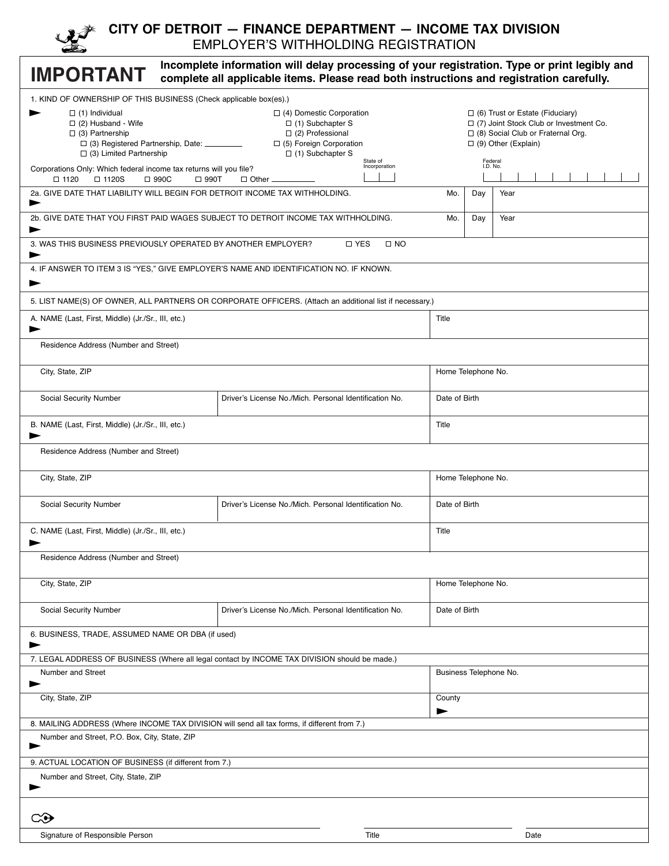|--|

#### **CITY OF DETROIT — FINANCE DEPARTMENT — INCOME TAX DIVISION** EMPLOYER'S WITHHOLDING REGISTRATION

| Incomplete information will delay processing of your registration. Type or print legibly and<br><b>IMPORTANT</b><br>complete all applicable items. Please read both instructions and registration carefully.                                                                                                                              |                                                                                                         |                    |                                                                                                                                                              |      |  |
|-------------------------------------------------------------------------------------------------------------------------------------------------------------------------------------------------------------------------------------------------------------------------------------------------------------------------------------------|---------------------------------------------------------------------------------------------------------|--------------------|--------------------------------------------------------------------------------------------------------------------------------------------------------------|------|--|
|                                                                                                                                                                                                                                                                                                                                           |                                                                                                         |                    |                                                                                                                                                              |      |  |
| 1. KIND OF OWNERSHIP OF THIS BUSINESS (Check applicable box(es).)<br>$\Box$ (1) Individual<br>$\Box$ (4) Domestic Corporation<br>$\Box$ (2) Husband - Wife<br>$\Box$ (1) Subchapter S<br>$\Box$ (2) Professional<br>$\Box$ (3) Partnership<br>$\Box$ (5) Foreign Corporation<br>$\Box$ (3) Limited Partnership<br>$\Box$ (1) Subchapter S |                                                                                                         |                    | $\Box$ (6) Trust or Estate (Fiduciary)<br>$\Box$ (7) Joint Stock Club or Investment Co.<br>□ (8) Social Club or Fraternal Org.<br>$\Box$ (9) Other (Explain) |      |  |
| State of<br>Federal<br>I.D. No.<br>Incorporation<br>Corporations Only: Which federal income tax returns will you file?<br>□ 990C<br>$\square$ 1120<br>$\square$ 1120S<br>$\Box$ 990T<br>$\Box$ Other $\Box$                                                                                                                               |                                                                                                         |                    |                                                                                                                                                              |      |  |
| 2a. GIVE DATE THAT LIABILITY WILL BEGIN FOR DETROIT INCOME TAX WITHHOLDING.<br>►                                                                                                                                                                                                                                                          |                                                                                                         |                    | Day                                                                                                                                                          | Year |  |
| 2b. GIVE DATE THAT YOU FIRST PAID WAGES SUBJECT TO DETROIT INCOME TAX WITHHOLDING.                                                                                                                                                                                                                                                        |                                                                                                         |                    | Day                                                                                                                                                          | Year |  |
| 3. WAS THIS BUSINESS PREVIOUSLY OPERATED BY ANOTHER EMPLOYER?<br>►                                                                                                                                                                                                                                                                        | □ YES<br>$\square$ NO                                                                                   |                    |                                                                                                                                                              |      |  |
| 4. IF ANSWER TO ITEM 3 IS "YES," GIVE EMPLOYER'S NAME AND IDENTIFICATION NO. IF KNOWN.<br>►                                                                                                                                                                                                                                               |                                                                                                         |                    |                                                                                                                                                              |      |  |
|                                                                                                                                                                                                                                                                                                                                           | 5. LIST NAME(S) OF OWNER, ALL PARTNERS OR CORPORATE OFFICERS. (Attach an additional list if necessary.) |                    |                                                                                                                                                              |      |  |
| A. NAME (Last, First, Middle) (Jr./Sr., III, etc.)<br>►                                                                                                                                                                                                                                                                                   |                                                                                                         | Title              |                                                                                                                                                              |      |  |
| Residence Address (Number and Street)                                                                                                                                                                                                                                                                                                     |                                                                                                         |                    |                                                                                                                                                              |      |  |
| City, State, ZIP                                                                                                                                                                                                                                                                                                                          |                                                                                                         | Home Telephone No. |                                                                                                                                                              |      |  |
| Social Security Number                                                                                                                                                                                                                                                                                                                    | Driver's License No./Mich. Personal Identification No.                                                  |                    | Date of Birth                                                                                                                                                |      |  |
| B. NAME (Last, First, Middle) (Jr./Sr., III, etc.)                                                                                                                                                                                                                                                                                        |                                                                                                         | Title              |                                                                                                                                                              |      |  |
| Residence Address (Number and Street)                                                                                                                                                                                                                                                                                                     |                                                                                                         |                    |                                                                                                                                                              |      |  |
| City, State, ZIP                                                                                                                                                                                                                                                                                                                          |                                                                                                         | Home Telephone No. |                                                                                                                                                              |      |  |
| Social Security Number                                                                                                                                                                                                                                                                                                                    | Driver's License No./Mich. Personal Identification No.                                                  | Date of Birth      |                                                                                                                                                              |      |  |
| C. NAME (Last, First, Middle) (Jr./Sr., III, etc.)                                                                                                                                                                                                                                                                                        |                                                                                                         | Title              |                                                                                                                                                              |      |  |
| Residence Address (Number and Street)                                                                                                                                                                                                                                                                                                     |                                                                                                         |                    |                                                                                                                                                              |      |  |
| City, State, ZIP                                                                                                                                                                                                                                                                                                                          |                                                                                                         | Home Telephone No. |                                                                                                                                                              |      |  |
| Social Security Number                                                                                                                                                                                                                                                                                                                    | Driver's License No./Mich. Personal Identification No.                                                  | Date of Birth      |                                                                                                                                                              |      |  |
| 6. BUSINESS, TRADE, ASSUMED NAME OR DBA (if used)                                                                                                                                                                                                                                                                                         |                                                                                                         |                    |                                                                                                                                                              |      |  |
| 7. LEGAL ADDRESS OF BUSINESS (Where all legal contact by INCOME TAX DIVISION should be made.)                                                                                                                                                                                                                                             |                                                                                                         |                    |                                                                                                                                                              |      |  |
| Number and Street                                                                                                                                                                                                                                                                                                                         |                                                                                                         |                    | Business Telephone No.                                                                                                                                       |      |  |
| City, State, ZIP                                                                                                                                                                                                                                                                                                                          |                                                                                                         | County             |                                                                                                                                                              |      |  |
| 8. MAILING ADDRESS (Where INCOME TAX DIVISION will send all tax forms, if different from 7.)                                                                                                                                                                                                                                              |                                                                                                         |                    |                                                                                                                                                              |      |  |
| Number and Street, P.O. Box, City, State, ZIP<br>►                                                                                                                                                                                                                                                                                        |                                                                                                         |                    |                                                                                                                                                              |      |  |
| 9. ACTUAL LOCATION OF BUSINESS (if different from 7.)                                                                                                                                                                                                                                                                                     |                                                                                                         |                    |                                                                                                                                                              |      |  |
| Number and Street, City, State, ZIP                                                                                                                                                                                                                                                                                                       |                                                                                                         |                    |                                                                                                                                                              |      |  |
| "                                                                                                                                                                                                                                                                                                                                         |                                                                                                         |                    |                                                                                                                                                              |      |  |
| Signature of Responsible Person                                                                                                                                                                                                                                                                                                           | Title                                                                                                   |                    |                                                                                                                                                              | Date |  |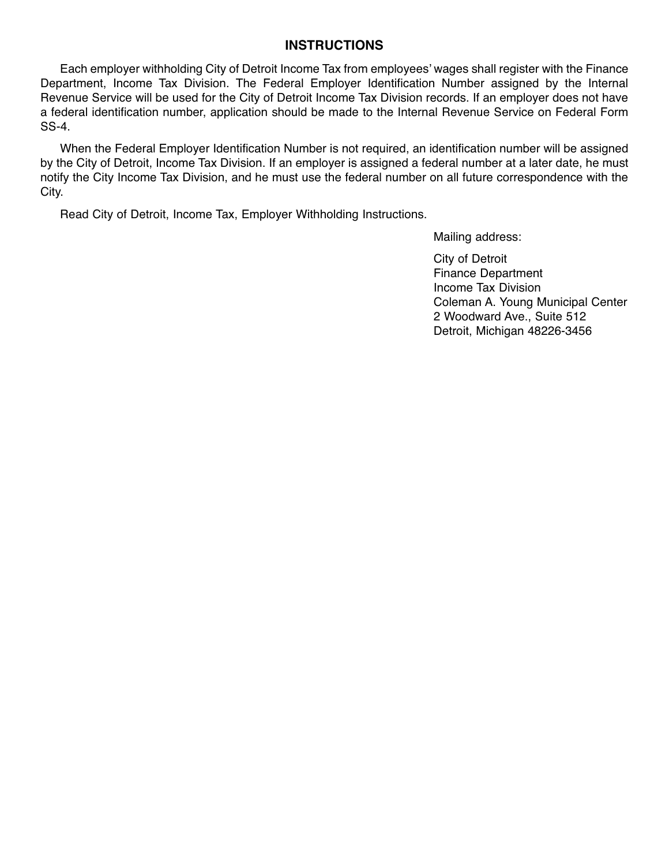#### **INSTRUCTIONS**

Each employer withholding City of Detroit Income Tax from employees' wages shall register with the Finance Department, Income Tax Division. The Federal Employer Identification Number assigned by the Internal Revenue Service will be used for the City of Detroit Income Tax Division records. If an employer does not have a federal identification number, application should be made to the Internal Revenue Service on Federal Form SS-4.

When the Federal Employer Identification Number is not required, an identification number will be assigned by the City of Detroit, Income Tax Division. If an employer is assigned a federal number at a later date, he must notify the City Income Tax Division, and he must use the federal number on all future correspondence with the City.

Read City of Detroit, Income Tax, Employer Withholding Instructions.

Mailing address:

City of Detroit Finance Department Income Tax Division Coleman A. Young Municipal Center 2 Woodward Ave., Suite 512 Detroit, Michigan 48226-3456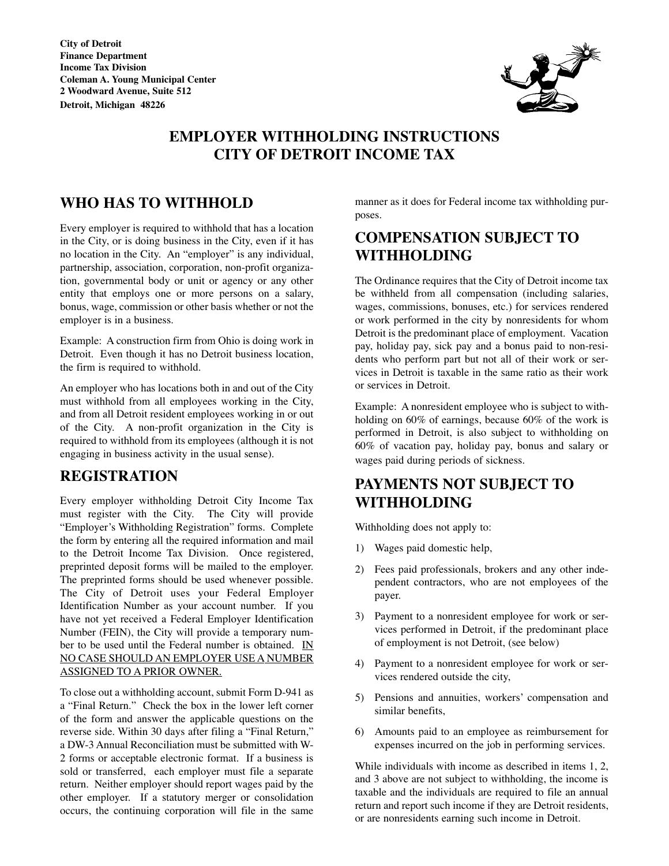City of **D**etroit Finance **D**epartment **I**ncome **T**ax **D**ivision Coleman **A**. Young Municipal Center 2 **W**oodward **A**venue, **S**uite 512 **D**etroit, Michigan48226



# EMP**LO**YER **WITHHOLDI**NG **I**N**ST**RUC**TIO**N**S** C**IT**Y **O**F **D**E**T**R**OIT I**NC**O**ME **TA**X

## **WHO HAS TO WITHHOLD**

Every employer is required to withhold that has a location in the City, or is doing business in the City, even if it has no location in the City. An "employer" is any individual, partnership, association, corporation, non-profit organization, governmental body or unit or agency or any other entity that employs one or more persons on a salary, bonus, wage, commission or other basis whether or not the employer is in a business.

Example: A construction firm from Ohio is doing work in Detroit. Even though it has no Detroit business location, the firm is required to withhold.

An employer who has locations both in and out of the City must withhold from all employees working in the City, and from all Detroit resident employees working in or out of the City. A non-profit organization in the City is required to withhold from its employees (although it is not engaging in business activity in the usual sense).

## REG**IST**R**ATIO**N

Every employer withholding Detroit City Income Tax must register with the City. The City will provide "Employer's Withholding Registration" forms. Complete the form by entering all the required information and mail to the Detroit Income Tax Division. Once registered, preprinted deposit forms will be mailed to the employer. The preprinted forms should be used whenever possible. The City of Detroit uses your Federal Employer Identification Number as your account number. If you have not yet received a Federal Employer Identification Number (FEIN), the City will provide a temporary number to be used until the Federal number is obtained. IN NO CASE SHOULD AN EMPLOYER USE A NUMBER ASSIGNED TO A PRIOR OWNER.

To close out a withholding account, submit Form D-941 as a "Final Return." Check the box in the lower left corner of the form and answer the applicable questions on the reverse side. Within 30 days after filing a "Final Return," a DW-3 Annual Reconciliation must be submitted with W-2 forms or acceptable electronic format. If a business is sold or transferred, each employer must file a separate return. Neither employer should report wages paid by the other employer. If a statutory merger or consolidation occurs, the continuing corporation will file in the same manner as it does for Federal income tax withholding purposes.

## C**O**MPEN**SATIO**N **S**UBJEC**T TO WITHHOLDI**NG

The Ordinance requires that the City of Detroit income tax be withheld from all compensation (including salaries, wages, commissions, bonuses, etc.) for services rendered or work performed in the city by nonresidents for whom Detroit is the predominant place of employment. Vacation pay, holiday pay, sick pay and a bonus paid to non-residents who perform part but not all of their work or services in Detroit is taxable in the same ratio as their work or services in Detroit.

Example: A nonresident employee who is subject to withholding on 60% of earnings, because 60% of the work is performed in Detroit, is also subject to withholding on 60% of vacation pay, holiday pay, bonus and salary or wages paid during periods of sickness.

# P**A**YMEN**TS** N**OT S**UBJEC**T TO WITHHOLDI**NG

Withholding does not apply to:

- 1) Wages paid domestic help,
- 2) Fees paid professionals, brokers and any other independent contractors, who are not employees of the payer.
- 3) Payment to a nonresident employee for work or services performed in Detroit, if the predominant place of employment is not Detroit, (see below)
- 4) Payment to a nonresident employee for work or services rendered outside the city,
- 5) Pensions and annuities, workers' compensation and similar benefits,
- 6) Amounts paid to an employee as reimbursement for expenses incurred on the job in performing services.

While individuals with income as described in items 1, 2, and 3 above are not subject to withholding, the income is taxable and the individuals are required to file an annual return and report such income if they are Detroit residents, or are nonresidents earning such income in Detroit.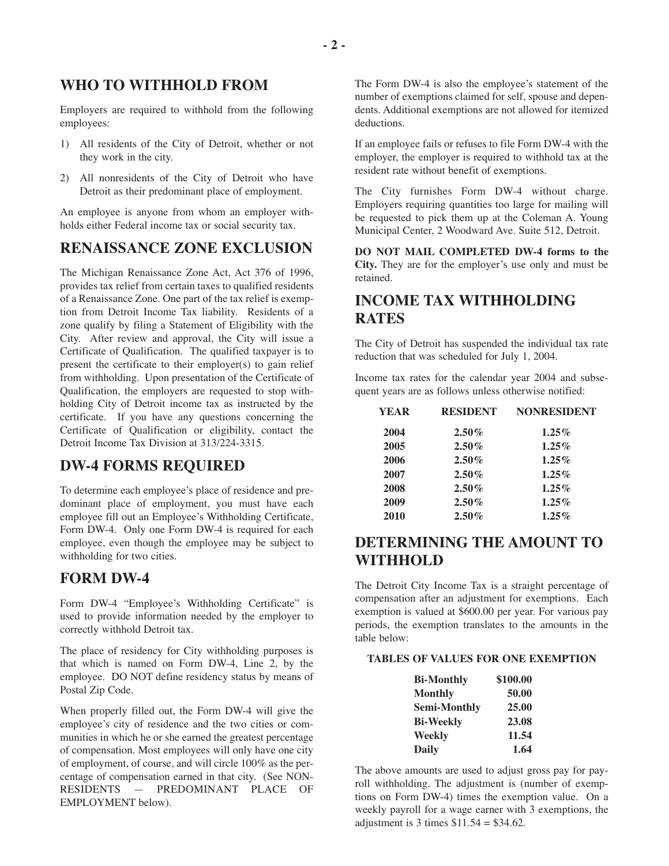#### **WHO TO WITHHOLD FROM**

Employers are required to withhold from the following employees:

- 1) All residents of the City of Detroit, whether or not they work in the city.
- 2) All nonresidents of the City of Detroit who have Detroit as their predominant place of employment.

An employee is anyone from whom an employer withholds either Federal income tax or social security tax.

## **RENAISSANCE ZONE EXCLUSION**

The Michigan Renaissance Zone Act, Act 376 of 1996, provides tax relief from certain taxes to qualified residents of a Renaissance Zone. One part of the tax relief is exemption from Detroit Income Tax liability. Residents of a zone qualify by filing a Statement of Eligibility with the City. After review and approval, the City will issue a Certificate of Qualification. The qualified taxpayer is to present the certificate to their employer(s) to gain relief from withholding. Upon presentation of the Certificate of Qualification, the employers are requested to stop withholding City of Detroit income tax as instructed by the certificate. If you have any questions concerning the Certificate of Qualification or eligibility, contact the Detroit Income Tax Division at 313/224-3315.

#### **DW-4 FORMS REQUIRED**

To determine each employee's place of residence and predominant place of employment, you must have each employee fill out an Employee's Withholding Certificate, Form DW-4. Only one Form DW-4 is required for each employee, even though the employee may be subject to withholding for two cities.

#### **FORM DW-4**

Form DW-4 "Employee's Withholding Certificate" is used to provide information needed by the employer to correctly withhold Detroit tax.

The place of residency for City withholding purposes is that which is named on Form DW-4, Line 2, by the employee. DO NOT define residency status by means of Postal Zip Code.

When properly filled out, the Form DW-4 will give the employee's city of residence and the two cities or communities in which he or she earned the greatest percentage of compensation. Most employees will only have one city of employment, of course, and will circle 100% as the percentage of compensation earned in that city. (See NON-RESIDENTS — PREDOMINANT PLACE OF EMPLOYMENT below).

The Form DW-4 is also the employee's statement of the number of exemptions claimed for self, spouse and dependents. Additional exemptions are not allowed for itemized deductions.

If an employee fails or refuses to file Form DW-4 with the employer, the employer is required to withhold tax at the resident rate without benefit of exemptions.

The City furnishes Form DW-4 without charge. Employers requiring quantities too large for mailing will be requested to pick them up at the Coleman A. Young Municipal Center, 2 Woodward Ave. Suite 512, Detroit.

**DO NOT MAIL COMPLETED DW-4 forms to the City.** They are for the employer's use only and must be retained.

## **INCOME TAX WITHHOLDING RATES**

The City of Detroit has suspended the individual tax rate reduction that was scheduled for July 1, 2004.

Income tax rates for the calendar year 2004 and subsequent years are as follows unless otherwise notified:

| <b>YEAR</b> | <b>RESIDENT</b> | <b>NONRESIDENT</b> |
|-------------|-----------------|--------------------|
| 2004        | $2.50\%$        | $1.25\%$           |
| 2005        | $2.50\%$        | $1.25\%$           |
| 2006        | $2.50\%$        | $1.25\%$           |
| 2007        | $2.50\%$        | $1.25\%$           |
| 2008        | $2.50\%$        | $1.25\%$           |
| 2009        | $2.50\%$        | $1.25\%$           |
| 2010        | $2.50\%$        | $1.25\%$           |

## **DETERMINING THE AMOUNT TO WITHHOLD**

The Detroit City Income Tax is a straight percentage of compensation after an adjustment for exemptions. Each exemption is valued at \$600.00 per year. For various pay periods, the exemption translates to the amounts in the table below:

#### **TABLES OF VALUES FOR ONE EXEMPTION**

| <b>Bi-Monthly</b>   | \$100.00 |
|---------------------|----------|
| <b>Monthly</b>      | 50.00    |
| <b>Semi-Monthly</b> | 25.00    |
| <b>Bi-Weekly</b>    | 23.08    |
| Weekly              | 11.54    |
| <b>Daily</b>        | 1.64     |

The above amounts are used to adjust gross pay for payroll withholding. The adjustment is (number of exemptions on Form DW-4) times the exemption value. On a weekly payroll for a wage earner with 3 exemptions, the adjustment is 3 times  $$11.54 = $34.62$ .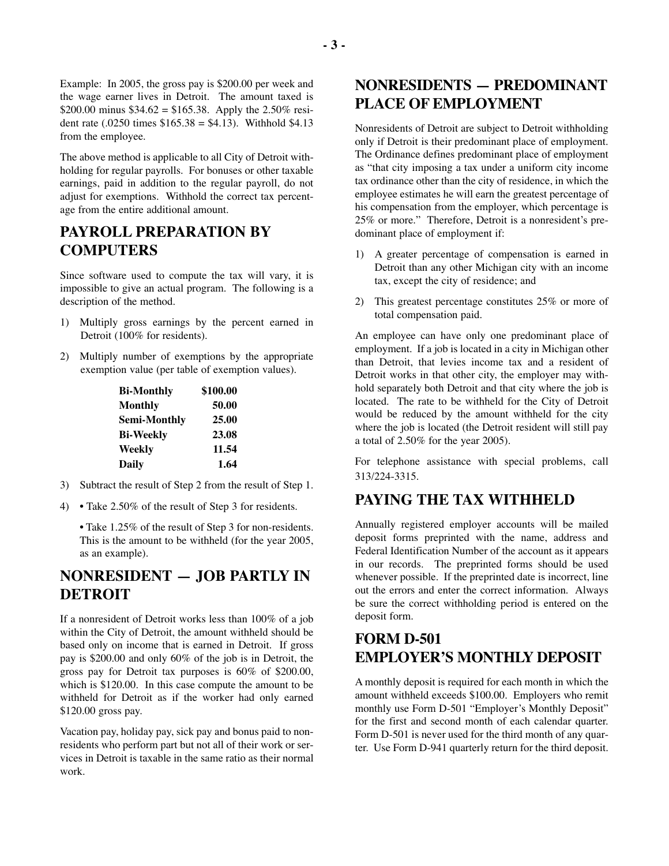Example: In 2005, the gross pay is \$200.00 per week and the wage earner lives in Detroit. The amount taxed is \$200.00 minus  $$34.62 = $165.38$ . Apply the 2.50% resident rate  $(.0250 \text{ times } $165.38 = $4.13)$ . Withhold \$4.13 from the employee.

The above method is applicable to all City of Detroit withholding for regular payrolls. For bonuses or other taxable earnings, paid in addition to the regular payroll, do not adjust for exemptions. Withhold the correct tax percentage from the entire additional amount.

## **PAYROLL PREPARATION BY COMPUTERS**

Since software used to compute the tax will vary, it is impossible to give an actual program. The following is a description of the method.

- 1) Multiply gross earnings by the percent earned in Detroit (100% for residents).
- 2) Multiply number of exemptions by the appropriate exemption value (per table of exemption values).

| <b>Bi-Monthly</b>   | \$100.00 |
|---------------------|----------|
| <b>Monthly</b>      | 50.00    |
| <b>Semi-Monthly</b> | 25.00    |
| <b>Bi-Weekly</b>    | 23.08    |
| Weekly              | 11.54    |
| <b>Daily</b>        | 1.64     |

- 3) Subtract the result of Step 2 from the result of Step 1.
- 4) Take 2.50% of the result of Step 3 for residents.

• Take 1.25% of the result of Step 3 for non-residents. This is the amount to be withheld (for the year 2005, as an example).

## **NONRESI**D**ENT** — J**OB PARTLY IN** D**ETROIT**

If a nonresident of Detroit works less than 100% of a job within the City of Detroit, the amount withheld should be based only on income that is earned in Detroit. If gross pay is \$200.00 and only 60% of the job is in Detroit, the gross pay for Detroit tax purposes is 60% of \$200.00, which is \$120.00. In this case compute the amount to be withheld for Detroit as if the worker had only earned \$120.00 gross pay.

Vacation pay, holiday pay, sick pay and bonus paid to nonresidents who perform part but not all of their work or services in Detroit is taxable in the same ratio as their normal work.

## **NONRESI**D**ENTS** — **PRE**D**OMINANT PLACE O**F **EMPLOYMENT**

Nonresidents of Detroit are subject to Detroit withholding only if Detroit is their predominant place of employment. The Ordinance defines predominant place of employment as "that city imposing a tax under a uniform city income tax ordinance other than the city of residence, in which the employee estimates he will earn the greatest percentage of his compensation from the employer, which percentage is 25% or more." Therefore, Detroit is a nonresident's predominant place of employment if:

- 1) A greater percentage of compensation is earned in Detroit than any other Michigan city with an income tax, except the city of residence; and
- 2) This greatest percentage constitutes 25% or more of total compensation paid.

An employee can have only one predominant place of employment. If a job is located in a city in Michigan other than Detroit, that levies income tax and a resident of Detroit works in that other city, the employer may withhold separately both Detroit and that city where the job is located. The rate to be withheld for the City of Detroit would be reduced by the amount withheld for the city where the job is located (the Detroit resident will still pay a total of 2.50% for the year 2005).

For telephone assistance with special problems, call 313/224-3315.

#### **PAYIN**G **T**H**E TA**X W**IT**HH**EL**D

Annually registered employer accounts will be mailed deposit forms preprinted with the name, address and Federal Identification Number of the account as it appears in our records. The preprinted forms should be used whenever possible. If the preprinted date is incorrect, line out the errors and enter the correct information. Always be sure the correct withholding period is entered on the deposit form.

# F**ORM** D-501 **EMPLOYER**'**S MONT**H**LY** D**EPOSIT**

A monthly deposit is required for each month in which the amount withheld exceeds \$100.00. Employers who remit monthly use Form D-501 "Employer's Monthly Deposit" for the first and second month of each calendar quarter. Form D-501 is never used for the third month of any quarter. Use Form D-941 quarterly return for the third deposit.